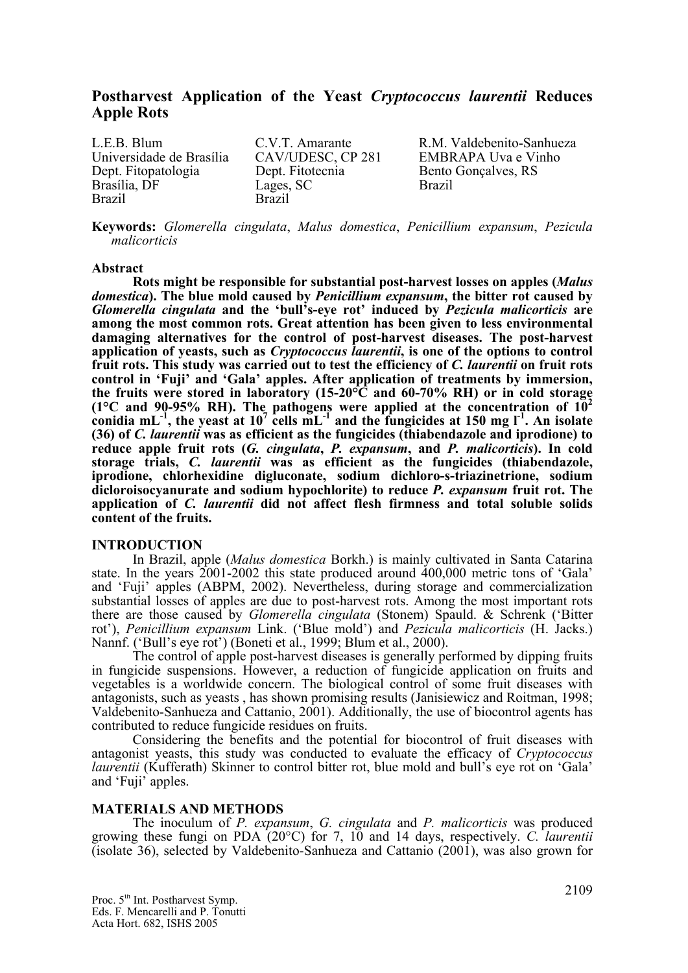# **Postharvest Application of the Yeast** *Cryptococcus laurentii* **Reduces Apple Rots**

L.E.B. Blum C.V.T. Amarante R.M. Valdebenito-Sanhueza Universidade de Brasília CAV/UDESC, CP 281 EMBRAPA Uva e Vinho Dept. Fitopatologia Dept. Fitotecnia Bento Gonçalves, RS Brasília, DF Lages, SC Brazil Brazil Brazil

**Keywords:** *Glomerella cingulata*, *Malus domestica*, *Penicillium expansum*, *Pezicula malicorticis*

#### **Abstract**

**Rots might be responsible for substantial post-harvest losses on apples (***Malus domestica***). The blue mold caused by** *Penicillium expansum***, the bitter rot caused by**  *Glomerella cingulata* **and the 'bull's-eye rot' induced by** *Pezicula malicorticis* **are among the most common rots. Great attention has been given to less environmental damaging alternatives for the control of post-harvest diseases. The post-harvest application of yeasts, such as** *Cryptococcus laurentii***, is one of the options to control fruit rots. This study was carried out to test the efficiency of** *C. laurentii* **on fruit rots control in 'Fuji' and 'Gala' apples. After application of treatments by immersion, the fruits were stored in laboratory (15-20°C and 60-70% RH) or in cold storage**   $(1^{\circ}$ C and 90-95% RH). The pathogens were applied at the concentration of  $10^2$ conidia  $mL^{-1}$ , the yeast at  $10^7$  cells  $mL^{-1}$  and the fungicides at 150 mg  $l^{-1}$ . An isolate **(36) of** *C. laurentii* **was as efficient as the fungicides (thiabendazole and iprodione) to reduce apple fruit rots (***G. cingulata***,** *P. expansum***, and** *P. malicorticis***). In cold storage trials,** *C. laurentii* **was as efficient as the fungicides (thiabendazole, iprodione, chlorhexidine digluconate, sodium dichloro-s-triazinetrione, sodium dicloroisocyanurate and sodium hypochlorite) to reduce** *P. expansum* **fruit rot. The application of** *C. laurentii* **did not affect flesh firmness and total soluble solids content of the fruits.** 

# **INTRODUCTION**

In Brazil, apple (*Malus domestica* Borkh.) is mainly cultivated in Santa Catarina state. In the years 2001-2002 this state produced around 400,000 metric tons of 'Gala' and 'Fuji' apples (ABPM, 2002). Nevertheless, during storage and commercialization substantial losses of apples are due to post-harvest rots. Among the most important rots there are those caused by *Glomerella cingulata* (Stonem) Spauld. & Schrenk ('Bitter rot'), *Penicillium expansum* Link. ('Blue mold') and *Pezicula malicorticis* (H. Jacks.) Nannf. ('Bull's eye rot') (Boneti et al., 1999; Blum et al., 2000).

The control of apple post-harvest diseases is generally performed by dipping fruits in fungicide suspensions. However, a reduction of fungicide application on fruits and vegetables is a worldwide concern. The biological control of some fruit diseases with antagonists, such as yeasts , has shown promising results (Janisiewicz and Roitman, 1998; Valdebenito-Sanhueza and Cattanio, 2001). Additionally, the use of biocontrol agents has contributed to reduce fungicide residues on fruits.

Considering the benefits and the potential for biocontrol of fruit diseases with antagonist yeasts, this study was conducted to evaluate the efficacy of *Cryptococcus laurentii* (Kufferath) Skinner to control bitter rot, blue mold and bull's eye rot on 'Gala' and 'Fuji' apples.

#### **MATERIALS AND METHODS**

The inoculum of *P. expansum*, *G. cingulata* and *P. malicorticis* was produced growing these fungi on PDA (20°C) for 7, 10 and 14 days, respectively. *C. laurentii* (isolate 36), selected by Valdebenito-Sanhueza and Cattanio (2001), was also grown for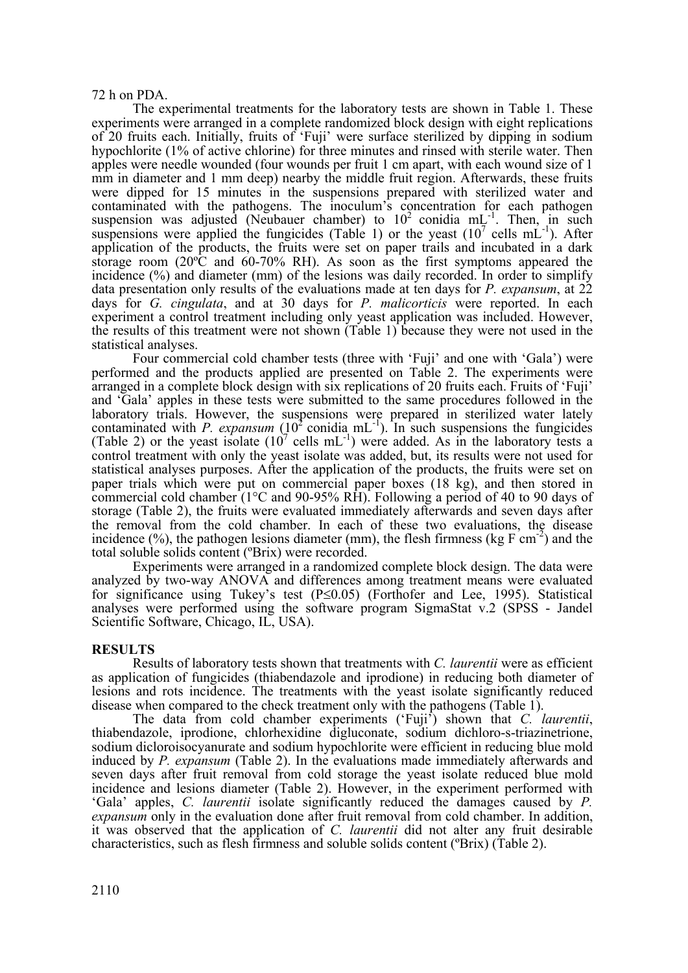## 72 h on PDA.

The experimental treatments for the laboratory tests are shown in Table 1. These experiments were arranged in a complete randomized block design with eight replications of 20 fruits each. Initially, fruits of 'Fuji' were surface sterilized by dipping in sodium hypochlorite (1% of active chlorine) for three minutes and rinsed with sterile water. Then apples were needle wounded (four wounds per fruit 1 cm apart, with each wound size of 1 mm in diameter and 1 mm deep) nearby the middle fruit region. Afterwards, these fruits were dipped for 15 minutes in the suspensions prepared with sterilized water and contaminated with the pathogens. The inoculum's concentration for each pathogen suspension was adjusted (Neubauer chamber) to  $10^2$  conidia mL<sup>-1</sup>. Then, in such suspensions were applied the fungicides (Table 1) or the yeast  $(10^7 \text{ cells } \text{mL}^{-1})$ . After application of the products, the fruits were set on paper trails and incubated in a dark storage room  $(20^{\circ}\text{C}$  and  $60-70\%$  RH). As soon as the first symptoms appeared the incidence (%) and diameter (mm) of the lesions was daily recorded. In order to simplify data presentation only results of the evaluations made at ten days for *P. expansum*, at 22 days for *G. cingulata*, and at 30 days for *P. malicorticis* were reported. In each experiment a control treatment including only yeast application was included. However, the results of this treatment were not shown (Table 1) because they were not used in the statistical analyses.

Four commercial cold chamber tests (three with 'Fuji' and one with 'Gala') were performed and the products applied are presented on Table 2. The experiments were arranged in a complete block design with six replications of 20 fruits each. Fruits of 'Fuji' and 'Gala' apples in these tests were submitted to the same procedures followed in the laboratory trials. However, the suspensions were prepared in sterilized water lately contaminated with *P. expansum*  $(10^2 \text{ conidia} \text{ mL}^{-1})$ . In such suspensions the fungicides (Table 2) or the yeast isolate  $(10^7 \text{ cells } \text{mL}^{-1})$  were added. As in the laboratory tests a control treatment with only the yeast isolate was added, but, its results were not used for statistical analyses purposes. After the application of the products, the fruits were set on paper trials which were put on commercial paper boxes (18 kg), and then stored in commercial cold chamber (1°C and 90-95% RH). Following a period of 40 to 90 days of storage (Table 2), the fruits were evaluated immediately afterwards and seven days after the removal from the cold chamber. In each of these two evaluations, the disease incidence  $(\%)$ , the pathogen lesions diameter (mm), the flesh firmness (kg F cm<sup>-2</sup>) and the total soluble solids content (ºBrix) were recorded.

Experiments were arranged in a randomized complete block design. The data were analyzed by two-way ANOVA and differences among treatment means were evaluated for significance using Tukey's test (P≤0.05) (Forthofer and Lee, 1995). Statistical analyses were performed using the software program SigmaStat v.2 (SPSS - Jandel Scientific Software, Chicago, IL, USA).

# **RESULTS**

Results of laboratory tests shown that treatments with *C. laurentii* were as efficient as application of fungicides (thiabendazole and iprodione) in reducing both diameter of lesions and rots incidence. The treatments with the yeast isolate significantly reduced

disease when compared to the check treatment only with the pathogens (Table 1).<br>The data from cold chamber experiments ('Fuji') shown that *C. laurentii*, thiabendazole, iprodione, chlorhexidine digluconate, sodium dichloro-s-triazinetrione, sodium dicloroisocyanurate and sodium hypochlorite were efficient in reducing blue mold induced by *P. expansum* (Table 2). In the evaluations made immediately afterwards and seven days after fruit removal from cold storage the yeast isolate reduced blue mold incidence and lesions diameter (Table 2). However, in the experiment performed with 'Gala' apples, *C. laurentii* isolate significantly reduced the damages caused by *P. expansum* only in the evaluation done after fruit removal from cold chamber. In addition, it was observed that the application of *C. laurentii* did not alter any fruit desirable characteristics, such as flesh firmness and soluble solids content (ºBrix) (Table 2).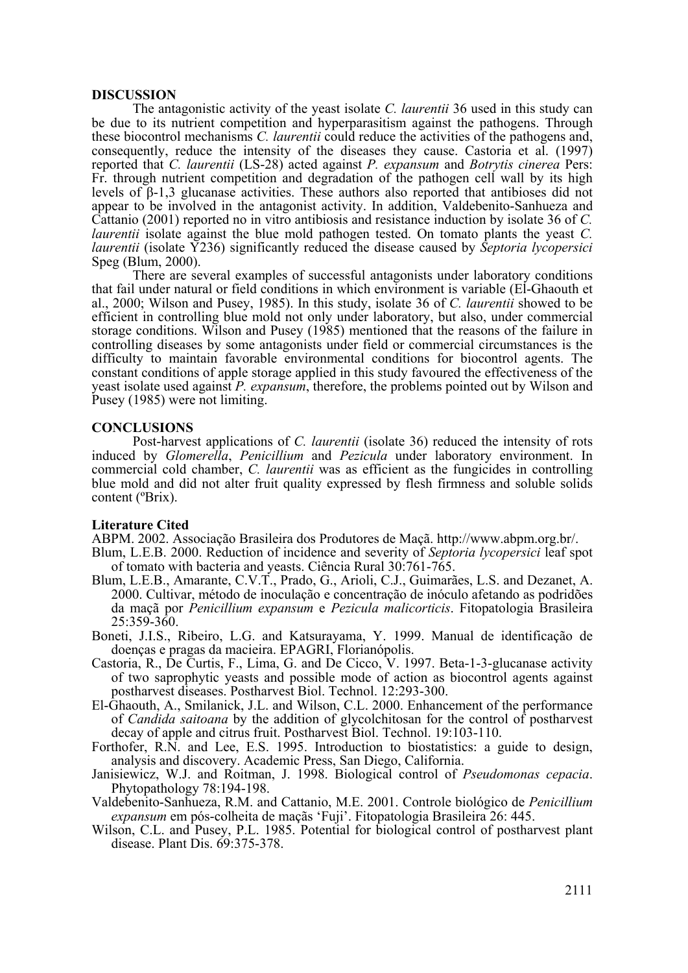## **DISCUSSION**

The antagonistic activity of the yeast isolate *C. laurentii* 36 used in this study can be due to its nutrient competition and hyperparasitism against the pathogens. Through these biocontrol mechanisms *C. laurentii* could reduce the activities of the pathogens and, consequently, reduce the intensity of the diseases they cause. Castoria et al. (1997) reported that *C. laurentii* (LS-28) acted against *P. expansum* and *Botrytis cinerea* Pers: Fr. through nutrient competition and degradation of the pathogen cell wall by its high levels of β-1,3 glucanase activities. These authors also reported that antibioses did not appear to be involved in the antagonist activity. In addition, Valdebenito-Sanhueza and Cattanio (2001) reported no in vitro antibiosis and resistance induction by isolate 36 of *C. laurentii* isolate against the blue mold pathogen tested. On tomato plants the yeast *C. laurentii* (isolate Y236) significantly reduced the disease caused by *Septoria lycopersici* Speg (Blum, 2000).

There are several examples of successful antagonists under laboratory conditions that fail under natural or field conditions in which environment is variable (El-Ghaouth et al., 2000; Wilson and Pusey, 1985). In this study, isolate 36 of *C. laurentii* showed to be efficient in controlling blue mold not only under laboratory, but also, under commercial storage conditions. Wilson and Pusey (1985) mentioned that the reasons of the failure in controlling diseases by some antagonists under field or commercial circumstances is the difficulty to maintain favorable environmental conditions for biocontrol agents. The constant conditions of apple storage applied in this study favoured the effectiveness of the yeast isolate used against *P. expansum*, therefore, the problems pointed out by Wilson and Pusey (1985) were not limiting.

# **CONCLUSIONS**

Post-harvest applications of *C. laurentii* (isolate 36) reduced the intensity of rots induced by *Glomerella*, *Penicillium* and *Pezicula* under laboratory environment. In commercial cold chamber, *C. laurentii* was as efficient as the fungicides in controlling blue mold and did not alter fruit quality expressed by flesh firmness and soluble solids content (ºBrix).

Literature Cited<br>ABPM. 2002. Associação Brasileira dos Produtores de Maçã. http://www.abpm.org.br/.

- Blum, L.E.B. 2000. Reduction of incidence and severity of *Septoria lycopersici* leaf spot of tomato with bacteria and yeasts. Ciência Rural 30:761-765.
- Blum, L.E.B., Amarante, C.V.T., Prado, G., Arioli, C.J., Guimarães, L.S. and Dezanet, A. 2000. Cultivar, método de inoculação e concentração de inóculo afetando as podridões da maçã por *Penicillium expansum* e *Pezicula malicorticis*. Fitopatologia Brasileira 25:359-360.
- Boneti, J.I.S., Ribeiro, L.G. and Katsurayama, Y. 1999. Manual de identificação de doenças e pragas da macieira. EPAGRI, Florianópolis.
- Castoria, R., De Curtis, F., Lima, G. and De Cicco, V. 1997. Beta-1-3-glucanase activity of two saprophytic yeasts and possible mode of action as biocontrol agents against postharvest diseases. Postharvest Biol. Technol. 12:293-300.
- El-Ghaouth, A., Smilanick, J.L. and Wilson, C.L. 2000. Enhancement of the performance of *Candida saitoana* by the addition of glycolchitosan for the control of postharvest decay of apple and citrus fruit. Postharvest Biol. Technol. 19:103-110.
- Forthofer, R.N. and Lee, E.S. 1995. Introduction to biostatistics: a guide to design, analysis and discovery. Academic Press, San Diego, California.
- Janisiewicz, W.J. and Roitman, J. 1998. Biological control of *Pseudomonas cepacia*. Phytopathology 78:194-198.
- Valdebenito-Sanhueza, R.M. and Cattanio, M.E. 2001. Controle biológico de *Penicillium expansum* em pós-colheita de maçãs 'Fuji'. Fitopatologia Brasileira 26: 445.
- Wilson, C.L. and Pusey, P.L. 1985. Potential for biological control of postharvest plant disease. Plant Dis. 69:375-378.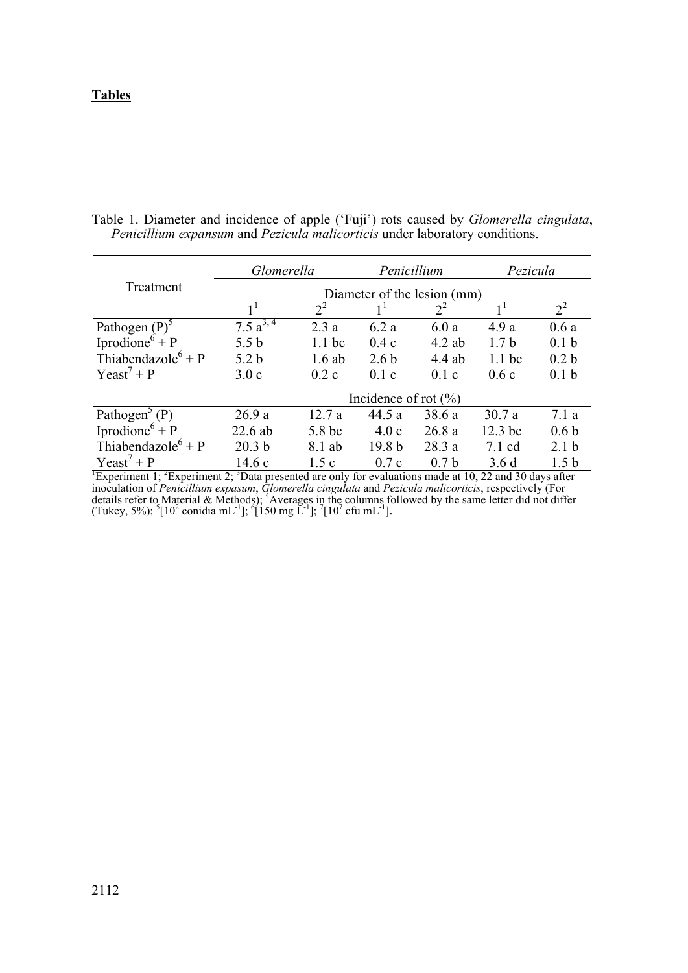# **Tables**

|                                                                                                                                | Glomerella                  |                   | Penicillium       |                  | Pezicula         |                  |  |  |  |  |
|--------------------------------------------------------------------------------------------------------------------------------|-----------------------------|-------------------|-------------------|------------------|------------------|------------------|--|--|--|--|
| Treatment                                                                                                                      | Diameter of the lesion (mm) |                   |                   |                  |                  |                  |  |  |  |  |
|                                                                                                                                |                             | $2^2$             |                   | $2^2$            |                  | $2^2$            |  |  |  |  |
| Pathogen $(P)$ <sup>5</sup>                                                                                                    | 7.5 $a^{3,4}$               | 2.3a              | 6.2a              | 6.0a             | 4.9a             | 0.6a             |  |  |  |  |
| Iprodione <sup><math>6</math></sup> + P                                                                                        | 5.5 <sub>b</sub>            | 1.1 <sub>bc</sub> | 0.4c              | $4.2$ ab         | 1.7 <sub>b</sub> | 0.1 <sub>b</sub> |  |  |  |  |
| Thiabendazole <sup>6</sup> + P                                                                                                 | 5.2 <sub>b</sub>            | $1.6$ ab          | 2.6 <sub>b</sub>  | 4.4 ab           | $1.1$ bc         | 0.2 <sub>b</sub> |  |  |  |  |
| $Y$ east <sup>7</sup> + P                                                                                                      | 3.0c                        | 0.2c              | 0.1c              | 0.1c             | 0.6c             | 0.1 <sub>b</sub> |  |  |  |  |
|                                                                                                                                | Incidence of rot $(\% )$    |                   |                   |                  |                  |                  |  |  |  |  |
| Pathogen <sup>3</sup> (P)                                                                                                      | 26.9a                       | 12.7a             | 44.5 a            | 38.6 a           | 30.7a            | 7.1a             |  |  |  |  |
| Iprodione <sup>6</sup> + P                                                                                                     | 22.6 ab                     | 5.8 bc            | 4.0c              | 26.8a            | 12.3 bc          | 0.6 <sub>b</sub> |  |  |  |  |
| Thiabendazole <sup>6</sup> + P                                                                                                 | 20.3 <sub>b</sub>           | 8.1 ab            | 19.8 <sub>b</sub> | 28.3a            | $7.1$ cd         | 2.1 <sub>b</sub> |  |  |  |  |
| Yeast' + $P$                                                                                                                   | 14.6c                       | 1.5c              | 0.7c              | 0.7 <sub>b</sub> | 3.6d             | 1.5 <sub>b</sub> |  |  |  |  |
| Experiment 1; <sup>2</sup> Experiment 2; <sup>3</sup> Data presented are only for evaluations made at 10, 22 and 30 days after |                             |                   |                   |                  |                  |                  |  |  |  |  |

Table 1. Diameter and incidence of apple ('Fuji') rots caused by *Glomerella cingulata*, *Penicillium expansum* and *Pezicula malicorticis* under laboratory conditions.

inoculation of *Penicillium expasum*, *Glomerella cingulata* and *Pezicula malicorticis*, respectively (For details refer to Material & Methods); 4 Averages in the columns followed by the same letter did not differ (Tukey, 5%);  $\frac{5}{10^2}$  conidia mL<sup>-1</sup>];  $\frac{6}{150}$  mg L<sup>-1</sup>];  $\frac{7}{10^7}$  cfu mL<sup>-1</sup>].